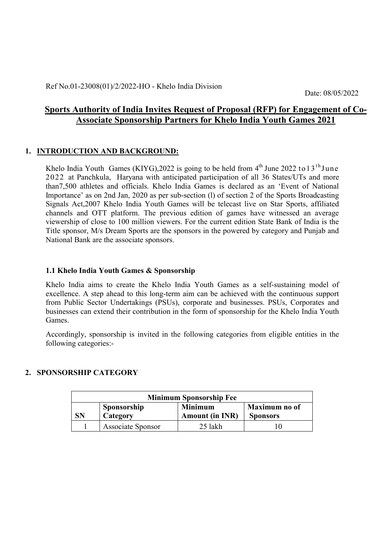Date: 08/05/2022

# Sports Authority of India Invites Request of Proposal (RFP) for Engagement of Co-Associate Sponsorship Partners for Khelo India Youth Games 2021

#### 1. INTRODUCTION AND BACKGROUND:

Khelo India Youth Games (KIYG), 2022 is going to be held from  $4<sup>th</sup>$  June 2022 to 13<sup>th</sup> June 2022 at Panchkula, Haryana with anticipated participation of all 36 States/UTs and more than7,500 athletes and officials. Khelo India Games is declared as an 'Event of National Importance' as on 2nd Jan, 2020 as per sub-section (l) of section 2 of the Sports Broadcasting Signals Act,2007 Khelo India Youth Games will be telecast live on Star Sports, affiliated channels and OTT platform. The previous edition of games have witnessed an average viewership of close to 100 million viewers. For the current edition State Bank of India is the Title sponsor, M/s Dream Sports are the sponsors in the powered by category and Punjab and National Bank are the associate sponsors.

#### 1.1 Khelo India Youth Games & Sponsorship

Khelo India aims to create the Khelo India Youth Games as a self-sustaining model of excellence. A step ahead to this long-term aim can be achieved with the continuous support from Public Sector Undertakings (PSUs), corporate and businesses. PSUs, Corporates and businesses can extend their contribution in the form of sponsorship for the Khelo India Youth Games.

Accordingly, sponsorship is invited in the following categories from eligible entities in the following categories:-

#### 2. SPONSORSHIP CATEGORY

| <b>Minimum Sponsorship Fee</b> |                          |                                          |                                  |  |
|--------------------------------|--------------------------|------------------------------------------|----------------------------------|--|
| SN                             | Sponsorship<br>Category  | <b>Minimum</b><br><b>Amount (in INR)</b> | Maximum no of<br><b>Sponsors</b> |  |
|                                | <b>Associate Sponsor</b> | 25 lakh                                  |                                  |  |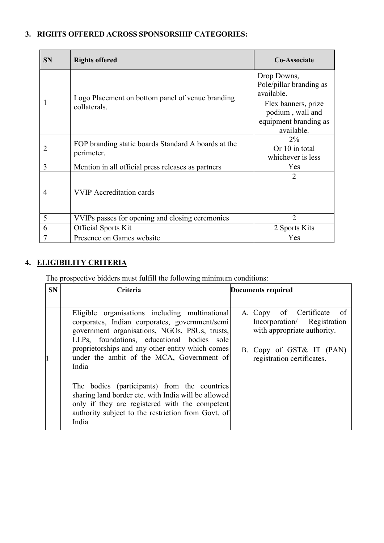# 3. RIGHTS OFFERED ACROSS SPONSORSHIP CATEGORIES:

| <b>SN</b>                | <b>Rights offered</b>                                             | <b>Co-Associate</b>                                                            |
|--------------------------|-------------------------------------------------------------------|--------------------------------------------------------------------------------|
|                          | Logo Placement on bottom panel of venue branding                  | Drop Downs,<br>Pole/pillar branding as<br>available.                           |
|                          | collaterals.                                                      | Flex banners, prize<br>podium, wall and<br>equipment branding as<br>available. |
|                          | FOP branding static boards Standard A boards at the<br>perimeter. | $2\%$<br>Or 10 in total<br>whichever is less                                   |
| $\overline{\mathcal{E}}$ | Mention in all official press releases as partners                | Yes                                                                            |
| 4                        | <b>VVIP</b> Accreditation cards                                   | 2                                                                              |
| 5                        | VVIPs passes for opening and closing ceremonies                   | っ                                                                              |
| 6                        | <b>Official Sports Kit</b>                                        | 2 Sports Kits                                                                  |
| $\overline{7}$           | Presence on Games website                                         | Yes                                                                            |

# 4. ELIGIBILITY CRITERIA

The prospective bidders must fulfill the following minimum conditions:

| <b>SN</b> | <b>Criteria</b>                                                                                                                                                                                                                                                                                           | Documents required                                                                                                                                   |
|-----------|-----------------------------------------------------------------------------------------------------------------------------------------------------------------------------------------------------------------------------------------------------------------------------------------------------------|------------------------------------------------------------------------------------------------------------------------------------------------------|
|           | Eligible organisations including multinational<br>corporates, Indian corporates, government/semi<br>government organisations, NGOs, PSUs, trusts,<br>LLPs, foundations, educational bodies sole<br>proprietorships and any other entity which comes<br>under the ambit of the MCA, Government of<br>India | A. Copy of Certificate<br>of<br>Incorporation/ Registration<br>with appropriate authority.<br>B. Copy of GST& IT (PAN)<br>registration certificates. |
|           | The bodies (participants) from the countries<br>sharing land border etc. with India will be allowed<br>only if they are registered with the competent<br>authority subject to the restriction from Govt. of<br>India                                                                                      |                                                                                                                                                      |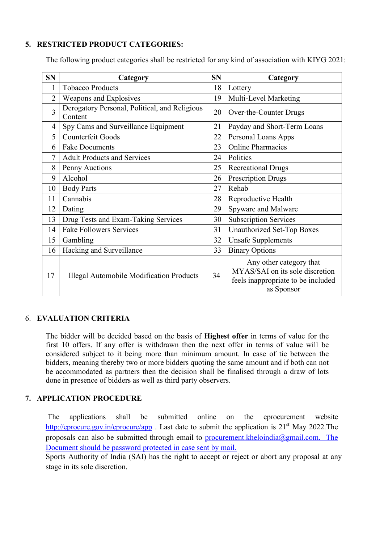#### 5. RESTRICTED PRODUCT CATEGORIES:

| <b>SN</b>      | Category                                                 | <b>SN</b> | Category                                                                                                       |
|----------------|----------------------------------------------------------|-----------|----------------------------------------------------------------------------------------------------------------|
| 1              | <b>Tobacco Products</b>                                  | 18        | Lottery                                                                                                        |
| $\overline{2}$ | Weapons and Explosives                                   | 19        | Multi-Level Marketing                                                                                          |
| 3              | Derogatory Personal, Political, and Religious<br>Content | 20        | Over-the-Counter Drugs                                                                                         |
| 4              | Spy Cams and Surveillance Equipment                      | 21        | Payday and Short-Term Loans                                                                                    |
| 5              | Counterfeit Goods                                        | 22        | Personal Loans Apps                                                                                            |
| 6              | <b>Fake Documents</b>                                    | 23        | <b>Online Pharmacies</b>                                                                                       |
| 7              | <b>Adult Products and Services</b>                       | 24        | Politics                                                                                                       |
| 8              | Penny Auctions                                           | 25        | <b>Recreational Drugs</b>                                                                                      |
| 9              | Alcohol                                                  | 26        | <b>Prescription Drugs</b>                                                                                      |
| 10             | <b>Body Parts</b>                                        | 27        | Rehab                                                                                                          |
| 11             | Cannabis                                                 | 28        | Reproductive Health                                                                                            |
| 12             | Dating                                                   | 29        | Spyware and Malware                                                                                            |
| 13             | Drug Tests and Exam-Taking Services                      | 30        | <b>Subscription Services</b>                                                                                   |
| 14             | <b>Fake Followers Services</b>                           | 31        | <b>Unauthorized Set-Top Boxes</b>                                                                              |
| 15             | Gambling                                                 | 32        | <b>Unsafe Supplements</b>                                                                                      |
| 16             | Hacking and Surveillance                                 | 33        | <b>Binary Options</b>                                                                                          |
| 17             | Illegal Automobile Modification Products                 | 34        | Any other category that<br>MYAS/SAI on its sole discretion<br>feels inappropriate to be included<br>as Sponsor |

The following product categories shall be restricted for any kind of association with KIYG 2021:

#### 6. EVALUATION CRITERIA

The bidder will be decided based on the basis of Highest offer in terms of value for the first 10 offers. If any offer is withdrawn then the next offer in terms of value will be considered subject to it being more than minimum amount. In case of tie between the bidders, meaning thereby two or more bidders quoting the same amount and if both can not be accommodated as partners then the decision shall be finalised through a draw of lots done in presence of bidders as well as third party observers.

#### 7. APPLICATION PROCEDURE

The applications shall be submitted online on the eprocurement website http://eprocure.gov.in/eprocure/app . Last date to submit the application is  $21<sup>st</sup>$  May 2022. The proposals can also be submitted through email to procurement.kheloindia@gmail.com. The Document should be password protected in case sent by mail.

Sports Authority of India (SAI) has the right to accept or reject or abort any proposal at any stage in its sole discretion.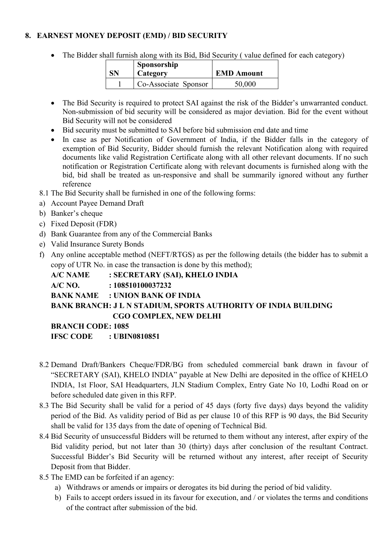#### 8. EARNEST MONEY DEPOSIT (EMD) / BID SECURITY

• The Bidder shall furnish along with its Bid, Bid Security (value defined for each category)

| SN | Sponsorship<br>Category | <b>EMD Amount</b> |  |
|----|-------------------------|-------------------|--|
|    | Co-Associate Sponsor    | 50,000            |  |

- The Bid Security is required to protect SAI against the risk of the Bidder's unwarranted conduct. Non-submission of bid security will be considered as major deviation. Bid for the event without Bid Security will not be considered
- Bid security must be submitted to SAI before bid submission end date and time
- In case as per Notification of Government of India, if the Bidder falls in the category of exemption of Bid Security, Bidder should furnish the relevant Notification along with required documents like valid Registration Certificate along with all other relevant documents. If no such notification or Registration Certificate along with relevant documents is furnished along with the bid, bid shall be treated as un-responsive and shall be summarily ignored without any further reference
- 8.1 The Bid Security shall be furnished in one of the following forms:
- a) Account Payee Demand Draft
- b) Banker's cheque
- c) Fixed Deposit (FDR)
- d) Bank Guarantee from any of the Commercial Banks
- e) Valid Insurance Surety Bonds
- f) Any online acceptable method (NEFT/RTGS) as per the following details (the bidder has to submit a copy of UTR No. in case the transaction is done by this method);

A/C NAME : SECRETARY (SAI), KHELO INDIA

#### A/C NO. : 108510100037232

## BANK NAME : UNION BANK OF INDIA

## BANK BRANCH: J L N STADIUM, SPORTS AUTHORITY OF INDIA BUILDING CGO COMPLEX, NEW DELHI

#### BRANCH CODE: 1085

IFSC CODE : UBIN0810851

- 8.2 Demand Draft/Bankers Cheque/FDR/BG from scheduled commercial bank drawn in favour of "SECRETARY (SAI), KHELO INDIA" payable at New Delhi are deposited in the office of KHELO INDIA, 1st Floor, SAI Headquarters, JLN Stadium Complex, Entry Gate No 10, Lodhi Road on or before scheduled date given in this RFP.
- 8.3 The Bid Security shall be valid for a period of 45 days (forty five days) days beyond the validity period of the Bid. As validity period of Bid as per clause 10 of this RFP is 90 days, the Bid Security shall be valid for 135 days from the date of opening of Technical Bid.
- 8.4 Bid Security of unsuccessful Bidders will be returned to them without any interest, after expiry of the Bid validity period, but not later than 30 (thirty) days after conclusion of the resultant Contract. Successful Bidder's Bid Security will be returned without any interest, after receipt of Security Deposit from that Bidder.
- 8.5 The EMD can be forfeited if an agency:
	- a) Withdraws or amends or impairs or derogates its bid during the period of bid validity.
	- b) Fails to accept orders issued in its favour for execution, and / or violates the terms and conditions of the contract after submission of the bid.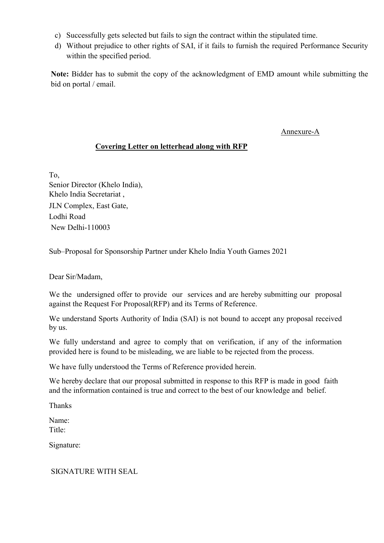- c) Successfully gets selected but fails to sign the contract within the stipulated time.
- d) Without prejudice to other rights of SAI, if it fails to furnish the required Performance Security within the specified period.

Note: Bidder has to submit the copy of the acknowledgment of EMD amount while submitting the bid on portal / email.

Annexure-A

## Covering Letter on letterhead along with RFP

To, Senior Director (Khelo India), Khelo India Secretariat , JLN Complex, East Gate, Lodhi Road New Delhi-110003

Sub–Proposal for Sponsorship Partner under Khelo India Youth Games 2021

Dear Sir/Madam,

We the undersigned offer to provide our services and are hereby submitting our proposal against the Request For Proposal(RFP) and its Terms of Reference.

We understand Sports Authority of India (SAI) is not bound to accept any proposal received by us.

We fully understand and agree to comply that on verification, if any of the information provided here is found to be misleading, we are liable to be rejected from the process.

We have fully understood the Terms of Reference provided herein.

We hereby declare that our proposal submitted in response to this RFP is made in good faith and the information contained is true and correct to the best of our knowledge and belief.

Thanks

Name: Title<sup>-</sup>

Signature:

SIGNATURE WITH SEAL